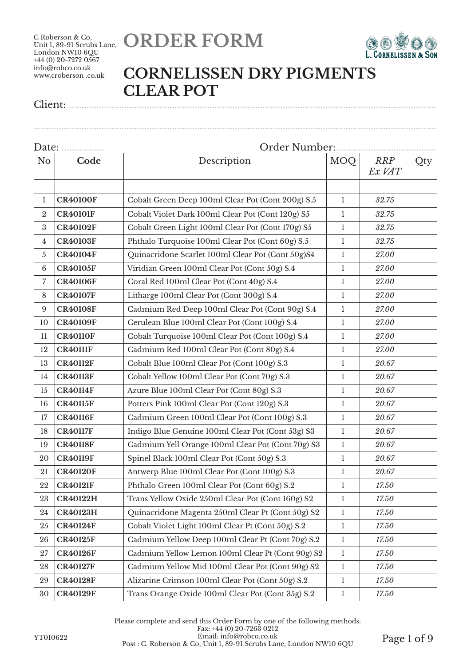



#### **CORNELISSEN DRY PIGMENTS CLEAR POT**

Client: ..................................................................................................................................................

| N <sub>o</sub>  | Code            | Description<br>MOQ                                                |              | <b>RRP</b><br>Ex VAT | Qty |  |  |
|-----------------|-----------------|-------------------------------------------------------------------|--------------|----------------------|-----|--|--|
| $\mathbf{1}$    | <b>CR40100F</b> | Cobalt Green Deep 100ml Clear Pot (Cont 200g) S.5                 | $\mathbf{1}$ | 32.75                |     |  |  |
| $\overline{2}$  | <b>CR40101F</b> | Cobalt Violet Dark 100ml Clear Pot (Cont 120g) S5                 | $\mathbf{1}$ | 32.75                |     |  |  |
| $\rm 3$         | <b>CR40102F</b> | Cobalt Green Light 100ml Clear Pot (Cont 170g) S5                 | $\mathbf 1$  | 32.75                |     |  |  |
| 4               | <b>CR40103F</b> | Phthalo Turquoise 100ml Clear Pot (Cont 60g) S.5                  | $\mathbf{1}$ | 32.75                |     |  |  |
| 5               | <b>CR40104F</b> | Quinacridone Scarlet 100ml Clear Pot (Cont 50g)S4<br>$\mathbf{1}$ |              | 27.00                |     |  |  |
| $6\phantom{.}6$ | <b>CR40105F</b> | Viridian Green 100ml Clear Pot (Cont 50g) S.4                     | $\mathbf{1}$ | 27.00                |     |  |  |
| 7               | <b>CR40106F</b> | Coral Red 100ml Clear Pot (Cont 40g) S.4                          | $\mathbf{1}$ | 27.00                |     |  |  |
| 8               | <b>CR40107F</b> | Litharge 100ml Clear Pot (Cont 300g) S.4                          | $\mathbf{1}$ | 27.00                |     |  |  |
| 9               | <b>CR40108F</b> | Cadmium Red Deep 100ml Clear Pot (Cont 90g) S.4                   | $\mathbf{1}$ | 27.00                |     |  |  |
| 10              | <b>CR40109F</b> | Cerulean Blue 100ml Clear Pot (Cont 100g) S.4                     | $\mathbf{1}$ | 27.00                |     |  |  |
| 11              | <b>CR40110F</b> | Cobalt Turquoise 100ml Clear Pot (Cont 100g) S.4                  | $\mathbf{1}$ | 27.00                |     |  |  |
| 12              | <b>CR40111F</b> | Cadmium Red 100ml Clear Pot (Cont 80g) S.4                        |              | 27.00                |     |  |  |
| 13              | <b>CR40112F</b> | Cobalt Blue 100ml Clear Pot (Cont 100g) S.3                       |              | 20.67                |     |  |  |
| 14              | <b>CR40113F</b> | Cobalt Yellow 100ml Clear Pot (Cont 70g) S.3                      |              | 20.67                |     |  |  |
| 15              | <b>CR40114F</b> | Azure Blue 100ml Clear Pot (Cont 80g) S.3                         |              | 20.67                |     |  |  |
| 16              | <b>CR40115F</b> | Potters Pink 100ml Clear Pot (Cont 120g) S.3                      |              | 20.67                |     |  |  |
| 17              | <b>CR40116F</b> | Cadmium Green 100ml Clear Pot (Cont 100g) S.3<br>$\mathbf{1}$     |              | 20.67                |     |  |  |
| 18              | <b>CR40117F</b> | Indigo Blue Genuine 100ml Clear Pot (Cont 53g) S3                 | $\mathbf{1}$ | 20.67                |     |  |  |
| 19              | <b>CR40118F</b> | Cadmium Yell Orange 100ml Clear Pot (Cont 70g) S3                 | $\mathbf{1}$ | 20.67                |     |  |  |
| 20              | <b>CR40119F</b> | Spinel Black 100ml Clear Pot (Cont 50g) S.3                       | $\mathbf{1}$ | 20.67                |     |  |  |
| 21              | <b>CR40120F</b> | Antwerp Blue 100ml Clear Pot (Cont 100g) S.3                      | $\mathbf{1}$ | 20.67                |     |  |  |
| 22              | <b>CR40121F</b> | Phthalo Green 100ml Clear Pot (Cont 60g) S.2                      | $\mathbf{1}$ | 17.50                |     |  |  |
| 23              | <b>CR40122H</b> | Trans Yellow Oxide 250ml Clear Pot (Cont 160g) S2                 | $\mathbf{1}$ | 17.50                |     |  |  |
| 24              | <b>CR40123H</b> | Quinacridone Magenta 250ml Clear Pt (Cont 50g) S2                 | $\mathbf{1}$ | 17.50                |     |  |  |
| 25              | <b>CR40124F</b> | Cobalt Violet Light 100ml Clear Pt (Cont 50g) S.2                 | $\mathbf{1}$ | 17.50                |     |  |  |
| 26              | <b>CR40125F</b> | Cadmium Yellow Deep 100ml Clear Pt (Cont 70g) S.2                 | $\mathbf{1}$ | 17.50                |     |  |  |
| 27              | <b>CR40126F</b> | Cadmium Yellow Lemon 100ml Clear Pt (Cont 90g) S2                 | $\mathbf{1}$ | 17.50                |     |  |  |
| 28              | <b>CR40127F</b> | Cadmium Yellow Mid 100ml Clear Pot (Cont 90g) S2                  | $\mathbf{1}$ | 17.50                |     |  |  |
| 29              | <b>CR40128F</b> | Alizarine Crimson 100ml Clear Pot (Cont 50g) S.2                  | $\mathbf{1}$ | 17.50                |     |  |  |
| 30              | <b>CR40129F</b> | Trans Orange Oxide 100ml Clear Pot (Cont 35g) S.2                 | $\mathbf{1}$ | 17.50                |     |  |  |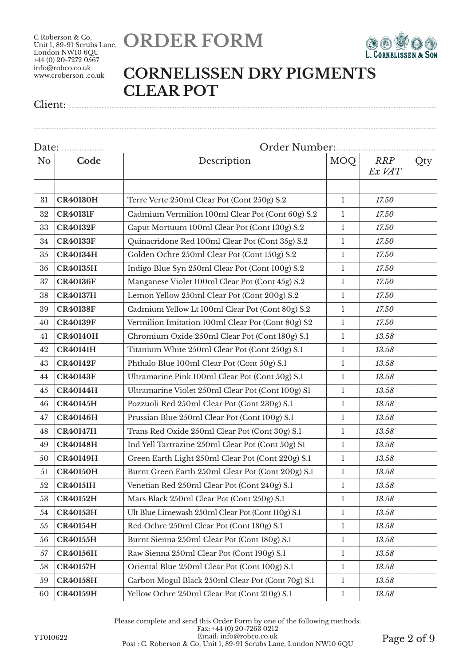



#### **CORNELISSEN DRY PIGMENTS CLEAR POT**

................................................................................................................................................................

| N <sub>o</sub> | Code            | Description                                       | <b>MOQ</b>        | <b>RRP</b><br>Ex VAT | Qty |  |  |
|----------------|-----------------|---------------------------------------------------|-------------------|----------------------|-----|--|--|
|                |                 |                                                   |                   |                      |     |  |  |
| 31             | <b>CR40130H</b> | Terre Verte 250ml Clear Pot (Cont 250g) S.2       | $\mathbf{1}$      | 17.50                |     |  |  |
| 32             | <b>CR40131F</b> | Cadmium Vermilion 100ml Clear Pot (Cont 60g) S.2  | 1                 | 17.50                |     |  |  |
| 33             | <b>CR40132F</b> | Caput Mortuum 100ml Clear Pot (Cont 130g) S.2     | $\mathbf{1}$      | 17.50                |     |  |  |
| 34             | <b>CR40133F</b> | Quinacridone Red 100ml Clear Pot (Cont 35g) S.2   | 1<br>$\mathbf{1}$ | 17.50                |     |  |  |
| 35             | <b>CR40134H</b> | Golden Ochre 250ml Clear Pot (Cont 150g) S.2      |                   | 17.50                |     |  |  |
| 36             | <b>CR40135H</b> | Indigo Blue Syn 250ml Clear Pot (Cont 100g) S.2   | $\mathbf{1}$      | 17.50                |     |  |  |
| 37             | <b>CR40136F</b> | Manganese Violet 100ml Clear Pot (Cont 45g) S.2   | $\mathbf{1}$      | 17.50                |     |  |  |
| 38             | <b>CR40137H</b> | Lemon Yellow 250ml Clear Pot (Cont 200g) S.2      | $\mathbf{1}$      | 17.50                |     |  |  |
| 39             | <b>CR40138F</b> | Cadmium Yellow Lt 100ml Clear Pot (Cont 80g) S.2  | $\mathbf{1}$      | 17.50                |     |  |  |
| 40             | <b>CR40139F</b> | Vermilion Imitation 100ml Clear Pot (Cont 80g) S2 | $\mathbf{1}$      | 17.50                |     |  |  |
| 41             | <b>CR40140H</b> | Chromium Oxide 250ml Clear Pot (Cont 180g) S.1    | $\mathbf{1}$      | 13.58                |     |  |  |
| 42             | <b>CR40141H</b> | Titanium White 250ml Clear Pot (Cont 250g) S.1    | $\mathbf{1}$      | 13.58                |     |  |  |
| 43             | <b>CR40142F</b> | Phthalo Blue 100ml Clear Pot (Cont 50g) S.1       | 1                 | 13.58                |     |  |  |
| 44             | <b>CR40143F</b> | Ultramarine Pink 100ml Clear Pot (Cont 50g) S.1   | $\mathbf{1}$      | 13.58                |     |  |  |
| 45             | <b>CR40144H</b> | Ultramarine Violet 250ml Clear Pot (Cont 100g) S1 | $\mathbf{1}$      | 13.58                |     |  |  |
| 46             | <b>CR40145H</b> | Pozzuoli Red 250ml Clear Pot (Cont 230g) S.1      |                   | 13.58                |     |  |  |
| 47             | <b>CR40146H</b> | Prussian Blue 250ml Clear Pot (Cont 100g) S.1     |                   | 13.58                |     |  |  |
| 48             | <b>CR40147H</b> | Trans Red Oxide 250ml Clear Pot (Cont 30g) S.1    | $\mathbf{1}$      | 13.58                |     |  |  |
| 49             | <b>CR40148H</b> | Ind Yell Tartrazine 250ml Clear Pot (Cont 50g) S1 | $\mathbf{1}$      | 13.58                |     |  |  |
| 50             | <b>CR40149H</b> | Green Earth Light 250ml Clear Pot (Cont 220g) S.1 | $\mathbf{1}$      | 13.58                |     |  |  |
| 51             | <b>CR40150H</b> | Burnt Green Earth 250ml Clear Pot (Cont 200g) S.1 | $\mathbf{1}$      | 13.58                |     |  |  |
| 52             | <b>CR40151H</b> | Venetian Red 250ml Clear Pot (Cont 240g) S.1      | $\mathbf{1}$      | 13.58                |     |  |  |
| 53             | <b>CR40152H</b> | Mars Black 250ml Clear Pot (Cont 250g) S.1        | 1                 | 13.58                |     |  |  |
| 54             | <b>CR40153H</b> | Ult Blue Limewash 250ml Clear Pot (Cont 110g) S.1 | $\mathbf{1}$      | 13.58                |     |  |  |
| 55             | <b>CR40154H</b> | Red Ochre 250ml Clear Pot (Cont 180g) S.1         | $\mathbf{1}$      | 13.58                |     |  |  |
| 56             | <b>CR40155H</b> | Burnt Sienna 250ml Clear Pot (Cont 180g) S.1      | $\mathbf{1}$      | 13.58                |     |  |  |
| 57             | <b>CR40156H</b> | Raw Sienna 250ml Clear Pot (Cont 190g) S.1        | $\mathbf{1}$      | 13.58                |     |  |  |
| 58             | <b>CR40157H</b> | Oriental Blue 250ml Clear Pot (Cont 100g) S.1     | $\mathbf{1}$      | 13.58                |     |  |  |
| 59             | <b>CR40158H</b> | Carbon Mogul Black 250ml Clear Pot (Cont 70g) S.1 | $\mathbf{1}$      | 13.58                |     |  |  |
| 60             | <b>CR40159H</b> | Yellow Ochre 250ml Clear Pot (Cont 210g) S.1      | $\mathbf{1}$      | 13.58                |     |  |  |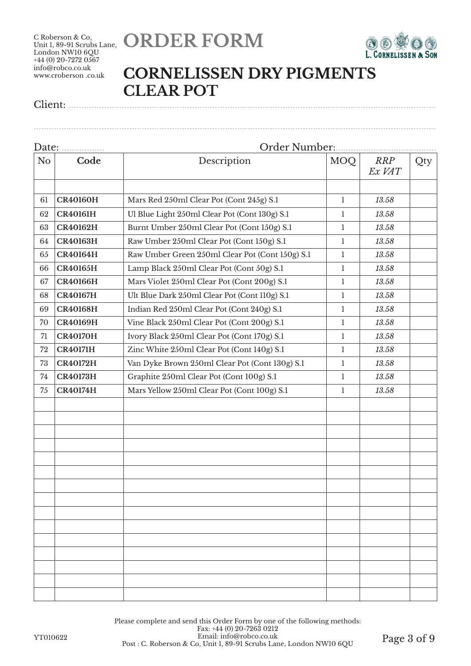



#### **CORNELISSEN DRY PIGMENTS CLEAR POT**

Client: ..................................................................................................................................................

| Date:          |                 |                                                 |              |                      |     |  |  |  |
|----------------|-----------------|-------------------------------------------------|--------------|----------------------|-----|--|--|--|
| N <sub>o</sub> | Code            | Description                                     |              | <b>RRP</b><br>Ex VAT | Qty |  |  |  |
| 61             | <b>CR40160H</b> | Mars Red 250ml Clear Pot (Cont 245g) S.1        | $\mathbf{1}$ | 13.58                |     |  |  |  |
|                | <b>CR40161H</b> |                                                 |              | 13.58                |     |  |  |  |
| 62             |                 | Ul Blue Light 250ml Clear Pot (Cont 130g) S.1   | $\mathbf{1}$ |                      |     |  |  |  |
| 63             | <b>CR40162H</b> | Burnt Umber 250ml Clear Pot (Cont 150g) S.1     | 1            | 13.58                |     |  |  |  |
| 64             | <b>CR40163H</b> | Raw Umber 250ml Clear Pot (Cont 150g) S.1       | 1            | 13.58                |     |  |  |  |
| 65             | <b>CR40164H</b> | Raw Umber Green 250ml Clear Pot (Cont 150g) S.1 | $\mathbf{1}$ | 13.58                |     |  |  |  |
| 66             | <b>CR40165H</b> | Lamp Black 250ml Clear Pot (Cont 50g) S.1       | 1            | 13.58                |     |  |  |  |
| 67             | <b>CR40166H</b> | Mars Violet 250ml Clear Pot (Cont 200g) S.1     | $\mathbf{1}$ | 13.58                |     |  |  |  |
| 68             | <b>CR40167H</b> | Ult Blue Dark 250ml Clear Pot (Cont 110g) S.1   | $\mathbf{1}$ | 13.58                |     |  |  |  |
| 69             | <b>CR40168H</b> | Indian Red 250ml Clear Pot (Cont 240g) S.1      | $\mathbf{1}$ | 13.58                |     |  |  |  |
| 70             | <b>CR40169H</b> | Vine Black 250ml Clear Pot (Cont 200g) S.1      | 1            | 13.58                |     |  |  |  |
| 71             | <b>CR40170H</b> | Ivory Black 250ml Clear Pot (Cont 170g) S.1     | 1            | 13.58                |     |  |  |  |
| 72             | <b>CR40171H</b> | Zinc White 250ml Clear Pot (Cont 140g) S.1      | $\mathbf{1}$ | 13.58                |     |  |  |  |
| 73             | <b>CR40172H</b> | Van Dyke Brown 250ml Clear Pot (Cont 130g) S.1  | $\mathbf{1}$ | 13.58                |     |  |  |  |
| 74             | <b>CR40173H</b> | Graphite 250ml Clear Pot (Cont 100g) S.1        | $\mathbf{1}$ | 13.58                |     |  |  |  |
| 75             | <b>CR40174H</b> | Mars Yellow 250ml Clear Pot (Cont 100g) S.1     | $\mathbf{1}$ | 13.58                |     |  |  |  |
|                |                 |                                                 |              |                      |     |  |  |  |
|                |                 |                                                 |              |                      |     |  |  |  |
|                |                 |                                                 |              |                      |     |  |  |  |
|                |                 |                                                 |              |                      |     |  |  |  |
|                |                 |                                                 |              |                      |     |  |  |  |
|                |                 |                                                 |              |                      |     |  |  |  |
|                |                 |                                                 |              |                      |     |  |  |  |
|                |                 |                                                 |              |                      |     |  |  |  |
|                |                 |                                                 |              |                      |     |  |  |  |
|                |                 |                                                 |              |                      |     |  |  |  |
|                |                 |                                                 |              |                      |     |  |  |  |
|                |                 |                                                 |              |                      |     |  |  |  |
|                |                 |                                                 |              |                      |     |  |  |  |
|                |                 |                                                 |              |                      |     |  |  |  |
|                |                 |                                                 |              |                      |     |  |  |  |
|                |                 |                                                 |              |                      |     |  |  |  |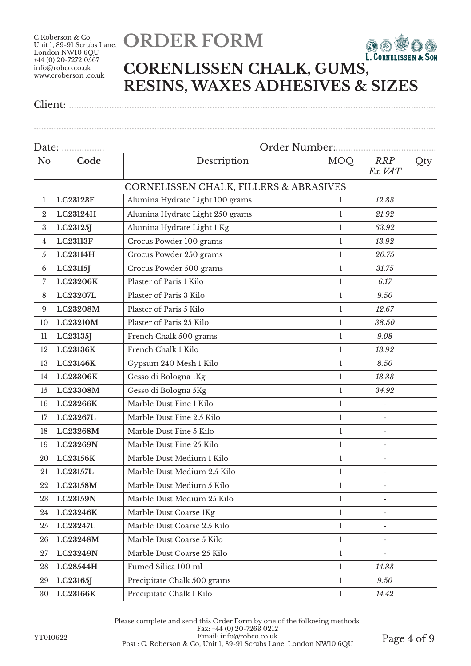## **ORDER FORM**



### **CORENLISSEN CHALK, GUMS, RESINS, WAXES ADHESIVES & SIZES**

................................................................................................................................................................

| Date: <u></u>    |                 | Order Number:                                     |              |                          |     |  |  |  |
|------------------|-----------------|---------------------------------------------------|--------------|--------------------------|-----|--|--|--|
| No               | Code            | Description                                       | MOQ          | <b>RRP</b><br>Ex VAT     | Qty |  |  |  |
|                  |                 | <b>CORNELISSEN CHALK, FILLERS &amp; ABRASIVES</b> |              |                          |     |  |  |  |
| 1                | <b>LC23123F</b> | Alumina Hydrate Light 100 grams                   | 1            | 12.83                    |     |  |  |  |
| $\boldsymbol{2}$ | LC23124H        | Alumina Hydrate Light 250 grams                   | $\mathbf{1}$ | 21.92                    |     |  |  |  |
| $\boldsymbol{3}$ | LC23125J        | Alumina Hydrate Light 1 Kg                        | $\mathbf{1}$ | 63.92                    |     |  |  |  |
| $\overline{4}$   | <b>LC23113F</b> | Crocus Powder 100 grams                           | 1            | 13.92                    |     |  |  |  |
| 5                | LC23114H        | Crocus Powder 250 grams                           | 1            | 20.75                    |     |  |  |  |
| $\,6\,$          | LC23115J        | Crocus Powder 500 grams                           | 1            | 31.75                    |     |  |  |  |
| 7                | LC23206K        | Plaster of Paris 1 Kilo                           | $\mathbf{1}$ | 6.17                     |     |  |  |  |
| 8                | LC23207L        | Plaster of Paris 3 Kilo                           | $\mathbf{1}$ | 9.50                     |     |  |  |  |
| $\boldsymbol{9}$ | LC23208M        | Plaster of Paris 5 Kilo                           | $\mathbf{1}$ | 12.67                    |     |  |  |  |
| 10               | LC23210M        | Plaster of Paris 25 Kilo                          | $\mathbf{1}$ | 38.50                    |     |  |  |  |
| 11               | LC23135J        | French Chalk 500 grams                            | 1            | 9.08                     |     |  |  |  |
| 12               | LC23136K        | French Chalk 1 Kilo                               | $\mathbf{1}$ | 13.92                    |     |  |  |  |
| 13               | LC23146K        | Gypsum 240 Mesh 1 Kilo                            | 1            | 8.50                     |     |  |  |  |
| 14               | LC23306K        | Gesso di Bologna 1Kg                              | 1            | 13.33                    |     |  |  |  |
| 15               | LC23308M        | Gesso di Bologna 5Kg                              | $\mathbf{1}$ | 34.92                    |     |  |  |  |
| 16               | LC23266K        | Marble Dust Fine 1 Kilo                           | $\mathbf{1}$ | $\overline{\phantom{0}}$ |     |  |  |  |
| 17               | LC23267L        | Marble Dust Fine 2.5 Kilo                         | $\mathbf{1}$ | $\overline{\phantom{0}}$ |     |  |  |  |
| 18               | LC23268M        | Marble Dust Fine 5 Kilo                           | 1            | $\overline{\phantom{a}}$ |     |  |  |  |
| 19               | LC23269N        | Marble Dust Fine 25 Kilo                          | $\mathbf{1}$ | $\overline{\phantom{a}}$ |     |  |  |  |
| 20               | LC23156K        | Marble Dust Medium 1 Kilo                         | 1            | $\overline{\phantom{a}}$ |     |  |  |  |
| 21               | LC23157L        | Marble Dust Medium 2.5 Kilo                       | $\mathbf{1}$ | $\overline{\phantom{a}}$ |     |  |  |  |
| 22               | LC23158M        | Marble Dust Medium 5 Kilo                         | $\mathbf{1}$ |                          |     |  |  |  |
| 23               | <b>LC23159N</b> | Marble Dust Medium 25 Kilo                        | 1            |                          |     |  |  |  |
| 24               | LC23246K        | Marble Dust Coarse 1Kg                            | 1            |                          |     |  |  |  |
| 25               | LC23247L        | Marble Dust Coarse 2.5 Kilo                       | $\mathbf{1}$ | $\overline{\phantom{a}}$ |     |  |  |  |
| 26               | LC23248M        | Marble Dust Coarse 5 Kilo                         | 1            |                          |     |  |  |  |
| 27               | LC23249N        | Marble Dust Coarse 25 Kilo                        | 1            |                          |     |  |  |  |
| 28               | LC28544H        | Fumed Silica 100 ml                               | $\mathbf{1}$ | 14.33                    |     |  |  |  |
| 29               | LC23165J        | Precipitate Chalk 500 grams                       | $\mathbf{1}$ | 9.50                     |     |  |  |  |
| 30               | LC23166K        | Precipitate Chalk 1 Kilo                          | $\mathbf{1}$ | 14.42                    |     |  |  |  |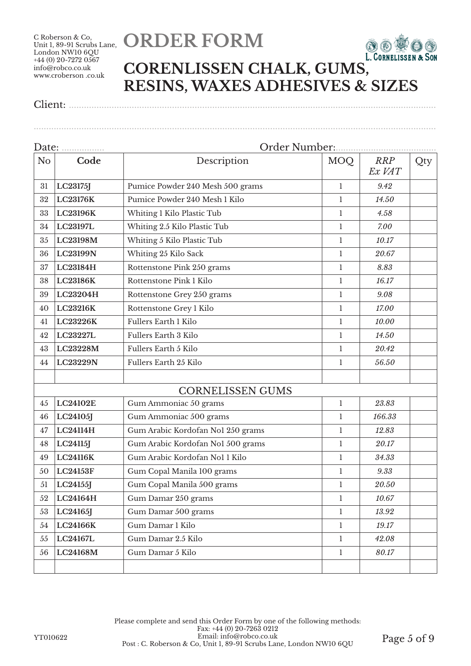C Roberson & Co, London NW10 6QU  $+44(0)$  20-7272 0567 info@robco.co.uk www.croberson .co.uk

# Unit 1, 89-91 Scrubs Lane, **ORDER FORM**



### **CORENLISSEN CHALK, GUMS, RESINS, WAXES ADHESIVES & SIZES**

Client: ..................................................................................................................................................

................................................................................................................................................................ Date: ................. Order Number:........................................ No **Code Description** MOQ *RRP Ex VAT* Qty **LC23175J** Pumice Powder 240 Mesh 500 grams 1 *9.42* **LC23176K** Pumice Powder 240 Mesh 1 Kilo 1 *14.50* **LC23196K** Whiting 1 Kilo Plastic Tub 1 *4.58* **LC23197L** Whiting 2.5 Kilo Plastic Tub 1 *7.00* **LC23198M** Whiting 5 Kilo Plastic Tub 1 1 1 10.17 **LC23199N** Whiting 25 Kilo Sack 1 *20.67* **LC23184H** Rottenstone Pink 250 grams 1 *8.83* **LC23186K** Rottenstone Pink 1 Kilo 1 *16.17* **LC23204H** Rottenstone Grey 250 grams 1 *9.08* **LC23216K** Rottenstone Grey 1 Kilo 1 *17.00* **LC23226K** Fullers Earth 1 Kilo 1 *10.00* **LC23227L** Fullers Earth 3 Kilo 1 *14.50* **LC23228M** Fullers Earth 5 Kilo 1 *20.42* **LC23229N** Fullers Earth 25 Kilo 1 *56.50* CORNELISSEN GUMS **LC24102E** Gum Ammoniac 50 grams 1 *23.83* **LC24105J** Gum Ammoniac 500 grams 1 *166.33* **LC24114H** Gum Arabic Kordofan No1 250 grams 1 *12.83* **LC24115J** Gum Arabic Kordofan No1 500 grams 1 *20.17* **LC24116K** Gum Arabic Kordofan No1 1 Kilo 1 *34.33* **LC24153F** Gum Copal Manila 100 grams 1 *9.33*

 **LC24155J** Gum Copal Manila 500 grams 1 *20.50* **LC24164H** Gum Damar 250 grams 1 *10.67* **LC24165J** Gum Damar 500 grams 1 *13.92* **LC24166K** Gum Damar 1 Kilo 1 *19.17* **LC24167L** Gum Damar 2.5 Kilo 1 *42.08*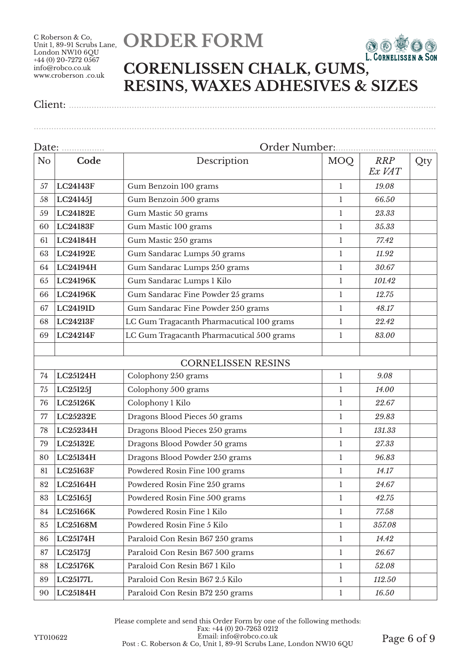C Roberson & Co, London NW10 6QU  $+44(0)$  20-7272 0567 info@robco.co.uk www.croberson .co.uk

# Unit 1, 89-91 Scrubs Lane, **ORDER FORM**



### **CORENLISSEN CHALK, GUMS, RESINS, WAXES ADHESIVES & SIZES**

Client: ..................................................................................................................................................

Date: ................. Order Number:........................................ No **Code Description** MOQ *RRP Ex VAT* Qty **LC24143F** Gum Benzoin 100 grams 1 *19.08* **LC24145J** Gum Benzoin 500 grams 1 *66.50* **LC24182E** Gum Mastic 50 grams 1 23.33 **LC24183F** Gum Mastic 100 grams 1 *35.33* **LC24184H** Gum Mastic 250 grams 1 *77.42* **LC24192E** Gum Sandarac Lumps 50 grams 1 *11.92* **LC24194H** Gum Sandarac Lumps 250 grams 1 *30.67* **LC24196K** Gum Sandarac Lumps 1 Kilo 1 *101.42* **LC24196K** Gum Sandarac Fine Powder 25 grams 1 *12.75* **LC24191D** Gum Sandarac Fine Powder 250 grams 1 *48.17* **LC24213F** LC Gum Tragacanth Pharmacutical 100 grams 1 *22.42* **LC24214F** LC Gum Tragacanth Pharmacutical 500 grams 1 *83.00* CORNELISSEN RESINS **LC25124H** Colophony 250 grams 1 *9.08* **LC25125J** Colophony 500 grams 1 *14.00* **LC25126K** Colophony 1 Kilo 1 *22.67* **LC25232E** Dragons Blood Pieces 50 grams 1 *29.83* **LC25234H** Dragons Blood Pieces 250 grams 1 *131.33* **LC25132E** Dragons Blood Powder 50 grams 1 *27.33* **LC25134H** Dragons Blood Powder 250 grams 1 96.83 **LC25163F** Powdered Rosin Fine 100 grams 1 1 1 14.17 **LC25164H** Powdered Rosin Fine 250 grams 1 1 24.67 **LC25165J** Powdered Rosin Fine 500 grams 1 1 42.75 **LC25166K** Powdered Rosin Fine 1 Kilo 1 *77.58* **LC25168M** Powdered Rosin Fine 5 Kilo 1 *357.08* **LC25174H** Paraloid Con Resin B67 250 grams 1 1 1 14.42 **LC25175J** Paraloid Con Resin B67 500 grams 1 *26.67* **LC25176K** Paraloid Con Resin B67 1 Kilo 1 *52.08* **LC25177L** Paraloid Con Resin B67 2.5 Kilo 1 *112.50*

90 **LC25184H** Paraloid Con Resin B72 250 grams 1 *16.50*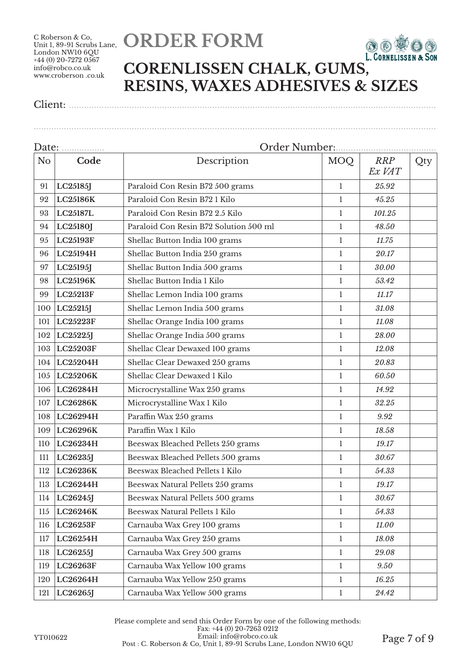## **ORDER FORM**



### **CORENLISSEN CHALK, GUMS, RESINS, WAXES ADHESIVES & SIZES**

................................................................................................................................................................

| Date:          |                 | Order Number:                          |              |                      |     |  |  |
|----------------|-----------------|----------------------------------------|--------------|----------------------|-----|--|--|
| N <sub>o</sub> | Code            | Description                            | MOQ          | <b>RRP</b><br>Ex VAT | Qty |  |  |
| 91             | LC25185J        | Paraloid Con Resin B72 500 grams       | 1            | 25.92                |     |  |  |
| 92             | LC25186K        | Paraloid Con Resin B72 1 Kilo          | $\mathbf{1}$ | 45.25                |     |  |  |
| 93             | LC25187L        | Paraloid Con Resin B72 2.5 Kilo        | $\mathbf{1}$ | 101.25               |     |  |  |
| 94             | LC25180J        | Paraloid Con Resin B72 Solution 500 ml | $\mathbf{1}$ | 48.50                |     |  |  |
| 95             | <b>LC25193F</b> | Shellac Button India 100 grams         | 1            | 11.75                |     |  |  |
| 96             | LC25194H        | Shellac Button India 250 grams         | $\mathbf{1}$ | 20.17                |     |  |  |
| 97             | LC25195J        | Shellac Button India 500 grams         | 1            | 30.00                |     |  |  |
| 98             | LC25196K        | Shellac Button India 1 Kilo            | $\mathbf{1}$ | 53.42                |     |  |  |
| 99             | <b>LC25213F</b> | Shellac Lemon India 100 grams          | $\mathbf{1}$ | 11.17                |     |  |  |
| 100            | LC25215J        | Shellac Lemon India 500 grams          | $\mathbf{1}$ | 31.08                |     |  |  |
| 101            | LC25223F        | Shellac Orange India 100 grams         | $\mathbf{1}$ | 11.08                |     |  |  |
| 102            | LC25225J        | Shellac Orange India 500 grams         | 1            | 28.00                |     |  |  |
| 103            | LC25203F        | Shellac Clear Dewaxed 100 grams        | 1            | 12.08                |     |  |  |
| 104            | LC25204H        | Shellac Clear Dewaxed 250 grams        | 1            | 20.83                |     |  |  |
| 105            | LC25206K        | Shellac Clear Dewaxed 1 Kilo           | $\mathbf{1}$ | 60.50                |     |  |  |
| 106            | LC26284H        | Microcrystalline Wax 250 grams         | 1            | 14.92                |     |  |  |
| 107            | LC26286K        | Microcrystalline Wax 1 Kilo            | $\mathbf{1}$ | 32.25                |     |  |  |
| 108            | LC26294H        | Paraffin Wax 250 grams                 | $\mathbf{1}$ | 9.92                 |     |  |  |
| 109            | LC26296K        | Paraffin Wax 1 Kilo                    | 1            | 18.58                |     |  |  |
| 110            | LC26234H        | Beeswax Bleached Pellets 250 grams     | $\mathbf{1}$ | 19.17                |     |  |  |
| 111            | LC26235J        | Beeswax Bleached Pellets 500 grams     | 1            | 30.67                |     |  |  |
| 112            | LC26236K        | Beeswax Bleached Pellets 1 Kilo        | $\mathbf{1}$ | 54.33                |     |  |  |
| 113            | LC26244H        | Beeswax Natural Pellets 250 grams      | 1            | 19.17                |     |  |  |
| 114            | LC26245J        | Beeswax Natural Pellets 500 grams      | $\mathbf{1}$ | 30.67                |     |  |  |
| $115$          | LC26246K        | Beeswax Natural Pellets 1 Kilo         | $\mathbf{1}$ | 54.33                |     |  |  |
| 116            | LC26253F        | Carnauba Wax Grey 100 grams            | $\mathbf{1}$ | 11.00                |     |  |  |
| 117            | LC26254H        | Carnauba Wax Grey 250 grams            | 1            | 18.08                |     |  |  |
| 118            | LC26255J        | Carnauba Wax Grey 500 grams            | 1            | 29.08                |     |  |  |
| 119            | LC26263F        | Carnauba Wax Yellow 100 grams          | $\mathbf{1}$ | 9.50                 |     |  |  |
| 120            | LC26264H        | Carnauba Wax Yellow 250 grams          | 1            | 16.25                |     |  |  |
| 121            | LC26265J        | Carnauba Wax Yellow 500 grams          | $\mathbf{1}$ | 24.42                |     |  |  |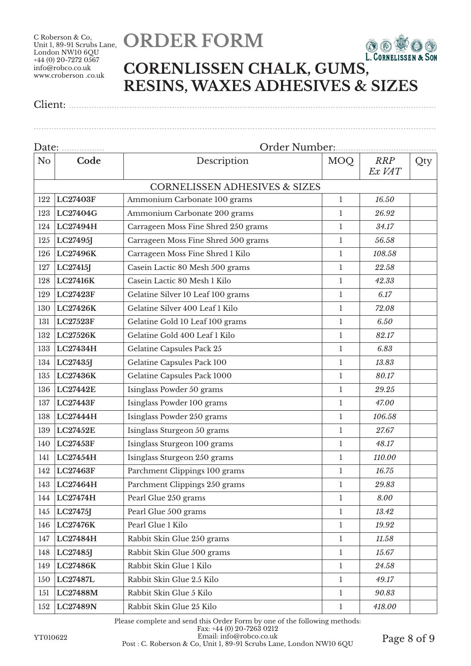## **ORDER FORM**



### **CORENLISSEN CHALK, GUMS, RESINS, WAXES ADHESIVES & SIZES**

Client: ..................................................................................................................................................

| Date:                  |                 | Order Number:                            |              |                      |     |  |  |  |
|------------------------|-----------------|------------------------------------------|--------------|----------------------|-----|--|--|--|
| Code<br>N <sub>o</sub> |                 | Description                              | MOQ          | <b>RRP</b><br>Ex VAT | Qty |  |  |  |
|                        |                 | <b>CORNELISSEN ADHESIVES &amp; SIZES</b> |              |                      |     |  |  |  |
| 122                    | <b>LC27403F</b> | Ammonium Carbonate 100 grams             | $\mathbf{1}$ | 16.50                |     |  |  |  |
| 123                    | LC27404G        | Ammonium Carbonate 200 grams             | $\mathbf{1}$ | 26.92                |     |  |  |  |
| 124                    | LC27494H        | Carrageen Moss Fine Shred 250 grams      | $\mathbf{1}$ | 34.17                |     |  |  |  |
| 125                    | LC27495J        | Carrageen Moss Fine Shred 500 grams      | $\mathbf{1}$ | 56.58                |     |  |  |  |
| 126                    | LC27496K        | Carrageen Moss Fine Shred 1 Kilo         | $\mathbf{1}$ | 108.58               |     |  |  |  |
| 127                    | LC27415J        | Casein Lactic 80 Mesh 500 grams          | 1            | 22.58                |     |  |  |  |
| 128                    | <b>LC27416K</b> | Casein Lactic 80 Mesh 1 Kilo             | 1            | 42.33                |     |  |  |  |
| 129                    | <b>LC27423F</b> | Gelatine Silver 10 Leaf 100 grams        | 1            | 6.17                 |     |  |  |  |
| 130                    | LC27426K        | Gelatine Silver 400 Leaf 1 Kilo          | $\mathbf{1}$ | 72.08                |     |  |  |  |
| 131                    | LC27523F        | Gelatine Gold 10 Leaf 100 grams          | $\mathbf{1}$ | 6.50                 |     |  |  |  |
| 132                    | LC27526K        | Gelatine Gold 400 Leaf 1 Kilo            | $\mathbf{1}$ | 82.17                |     |  |  |  |
| 133                    | LC27434H        | Gelatine Capsules Pack 25                | 1            | 6.83                 |     |  |  |  |
| 134                    | LC27435J        | Gelatine Capsules Pack 100               | 1            | 13.83                |     |  |  |  |
| 135                    | LC27436K        | Gelatine Capsules Pack 1000              | 1            | 80.17                |     |  |  |  |
| 136                    | <b>LC27442E</b> | Isinglass Powder 50 grams                | 1            | 29.25                |     |  |  |  |
| 137                    | <b>LC27443F</b> | Isinglass Powder 100 grams               | $\mathbf{1}$ | 47.00                |     |  |  |  |
| 138                    | LC27444H        | Isinglass Powder 250 grams               | $\mathbf{1}$ | 106.58               |     |  |  |  |
| 139                    | <b>LC27452E</b> | Isinglass Sturgeon 50 grams              | $\mathbf{1}$ | 27.67                |     |  |  |  |
| 140                    | LC27453F        | Isinglass Sturgeon 100 grams             | $\mathbf{1}$ | 48.17                |     |  |  |  |
| 141                    | LC27454H        | Isinglass Sturgeon 250 grams             | 1            | 110.00               |     |  |  |  |
| 142                    | LC27463F        | Parchment Clippings 100 grams            | $\mathbf{1}$ | 16.75                |     |  |  |  |
| 143                    | LC27464H        | Parchment Clippings 250 grams            | 1            | 29.83                |     |  |  |  |
| 144                    | LC27474H        | Pearl Glue 250 grams                     | 1            | 8.00                 |     |  |  |  |
| 145                    | LC27475J        | Pearl Glue 500 grams                     | $\mathbf{1}$ | 13.42                |     |  |  |  |
| 146                    | <b>LC27476K</b> | Pearl Glue 1 Kilo                        | $\mathbf{1}$ | 19.92                |     |  |  |  |
| 147                    | LC27484H        | Rabbit Skin Glue 250 grams               | $\mathbf{1}$ | 11.58                |     |  |  |  |
| 148                    | LC27485J        | Rabbit Skin Glue 500 grams               | $\mathbf{1}$ | 15.67                |     |  |  |  |
| 149                    | LC27486K        | Rabbit Skin Glue 1 Kilo                  | $\mathbf{1}$ | 24.58                |     |  |  |  |
| 150                    | LC27487L        | Rabbit Skin Glue 2.5 Kilo                | $\mathbf{1}$ | 49.17                |     |  |  |  |
| 151                    | LC27488M        | Rabbit Skin Glue 5 Kilo                  | $\mathbf{1}$ | 90.83                |     |  |  |  |
| 152                    | LC27489N        | Rabbit Skin Glue 25 Kilo                 | $\mathbf{1}$ | 418.00               |     |  |  |  |